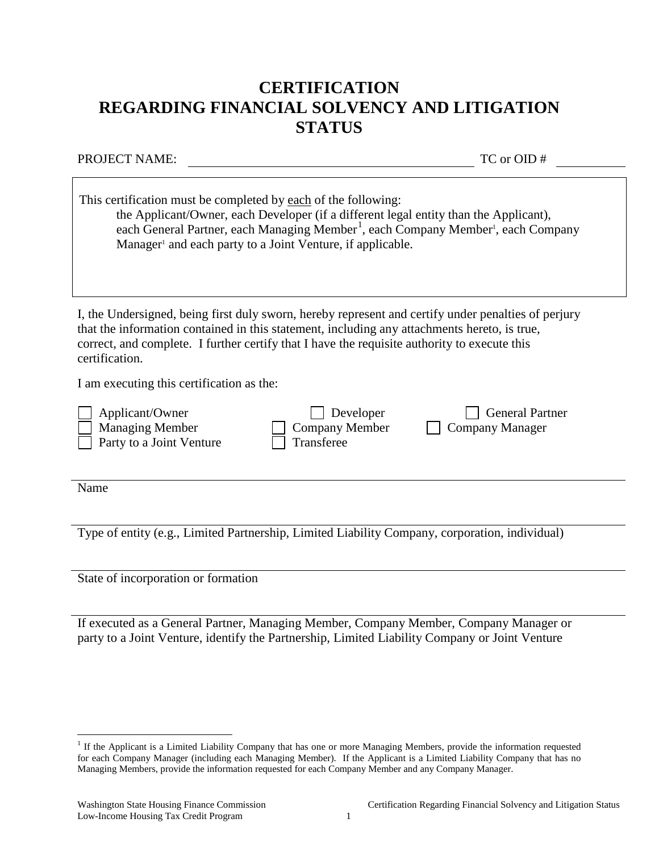## **CERTIFICATION REGARDING FINANCIAL SOLVENCY AND LITIGATION STATUS**

PROJECT NAME: TC or OID #

| This certification must be completed by each of the following:<br>the Applicant/Owner, each Developer (if a different legal entity than the Applicant),<br>each General Partner, each Managing Member <sup>1</sup> , each Company Member <sup>1</sup> , each Company<br>Manager <sup>1</sup> and each party to a Joint Venture, if applicable. |
|------------------------------------------------------------------------------------------------------------------------------------------------------------------------------------------------------------------------------------------------------------------------------------------------------------------------------------------------|
| I, the Undersigned, being first duly sworn, hereby represent and certify under penalties of perjury<br>that the information contained in this statement, including any attachments hereto, is true,<br>correct, and complete. I further certify that I have the requisite authority to execute this<br>certification.                          |
| I am executing this certification as the:                                                                                                                                                                                                                                                                                                      |
| Developer<br><b>General Partner</b><br>Applicant/Owner<br><b>Managing Member</b><br>Company Member<br>Company Manager<br>Party to a Joint Venture<br>Transferee                                                                                                                                                                                |
| Name                                                                                                                                                                                                                                                                                                                                           |
| Type of entity (e.g., Limited Partnership, Limited Liability Company, corporation, individual)                                                                                                                                                                                                                                                 |

State of incorporation or formation

If executed as a General Partner, Managing Member, Company Member, Company Manager or party to a Joint Venture, identify the Partnership, Limited Liability Company or Joint Venture

<span id="page-0-0"></span> $1$  If the Applicant is a Limited Liability Company that has one or more Managing Members, provide the information requested for each Company Manager (including each Managing Member). If the Applicant is a Limited Liability Company that has no Managing Members, provide the information requested for each Company Member and any Company Manager.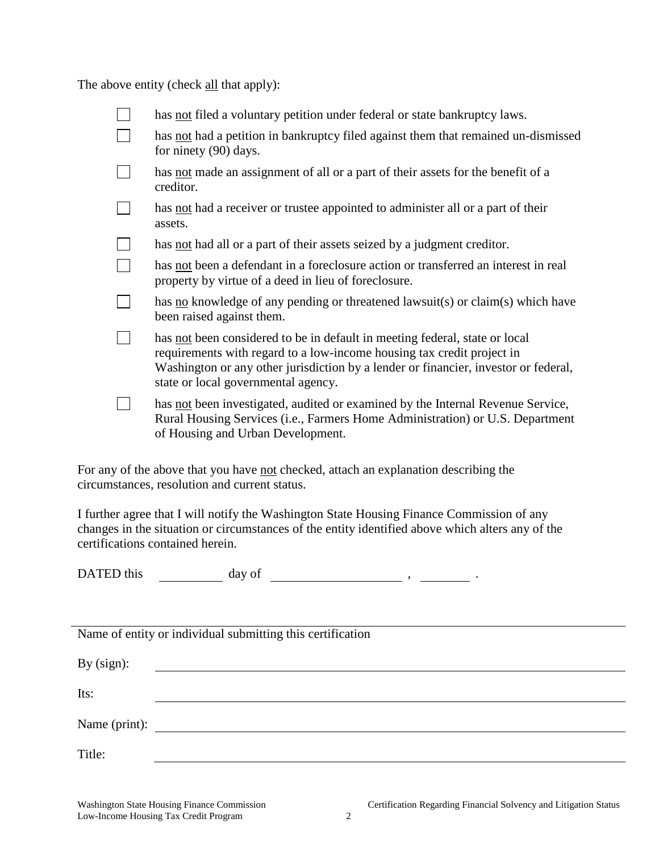The above entity (check all that apply):

| has not filed a voluntary petition under federal or state bankruptcy laws.                                                                                                                                                                                                          |
|-------------------------------------------------------------------------------------------------------------------------------------------------------------------------------------------------------------------------------------------------------------------------------------|
| has not had a petition in bankruptcy filed against them that remained un-dismissed<br>for ninety (90) days.                                                                                                                                                                         |
| has not made an assignment of all or a part of their assets for the benefit of a<br>creditor.                                                                                                                                                                                       |
| has not had a receiver or trustee appointed to administer all or a part of their<br>assets.                                                                                                                                                                                         |
| has <u>not</u> had all or a part of their assets seized by a judgment creditor.                                                                                                                                                                                                     |
| has not been a defendant in a foreclosure action or transferred an interest in real<br>property by virtue of a deed in lieu of foreclosure.                                                                                                                                         |
| has no knowledge of any pending or threatened lawsuit(s) or claim(s) which have<br>been raised against them.                                                                                                                                                                        |
| has not been considered to be in default in meeting federal, state or local<br>requirements with regard to a low-income housing tax credit project in<br>Washington or any other jurisdiction by a lender or financier, investor or federal,<br>state or local governmental agency. |
| has not been investigated, audited or examined by the Internal Revenue Service,<br>Rural Housing Services (i.e., Farmers Home Administration) or U.S. Department<br>of Housing and Urban Development.                                                                               |

For any of the above that you have not checked, attach an explanation describing the circumstances, resolution and current status.

I further agree that I will notify the Washington State Housing Finance Commission of any changes in the situation or circumstances of the entity identified above which alters any of the certifications contained herein.

DATED this  $\qquad \qquad \text{day of} \qquad \qquad \text{say}$ ,  $\qquad \qquad$ ,  $\qquad \qquad$ .

Name of entity or individual submitting this certification

| By $(sign)$ : |  |
|---------------|--|
| Its:          |  |
| Name (print): |  |
| Title:        |  |